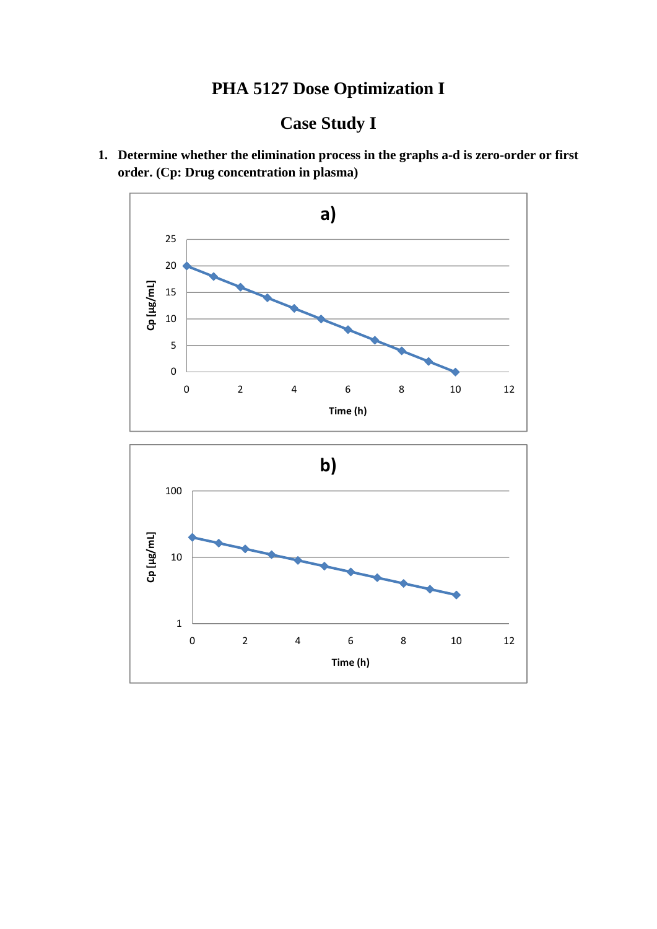## **PHA 5127 Dose Optimization I**

# **Case Study I**

**1. Determine whether the elimination process in the graphs a-d is zero-order or first order. (Cp: Drug concentration in plasma)** 



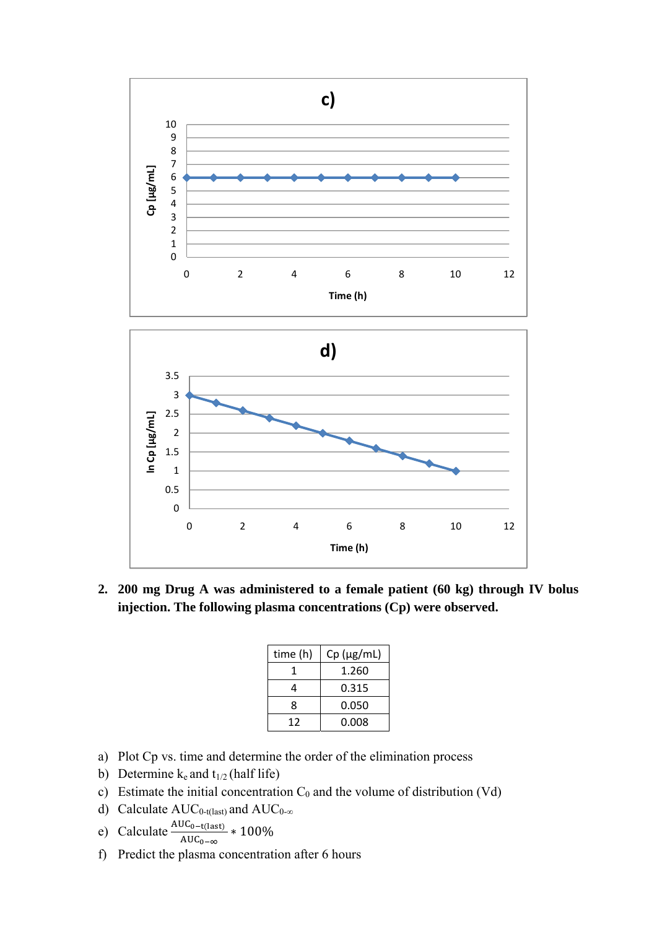

**2. 200 mg Drug A was administered to a female patient (60 kg) through IV bolus injection. The following plasma concentrations (Cp) were observed.** 

| time (h) | $Cp$ ( $\mu$ g/mL) |
|----------|--------------------|
|          | 1.260              |
|          | 0.315              |
| 8        | 0.050              |
| 12       | 0.008              |

- a) Plot Cp vs. time and determine the order of the elimination process
- b) Determine  $k_e$  and  $t_{1/2}$  (half life)
- c) Estimate the initial concentration  $C_0$  and the volume of distribution (Vd)
- d) Calculate  $AUC_{0-t(last)}$  and  $AUC_{0-\infty}$
- e) Calculate  $\frac{\text{AUC}_{0-\text{t}(last)}}{\text{AUC}_{0-\infty}} * 100\%$
- f) Predict the plasma concentration after 6 hours